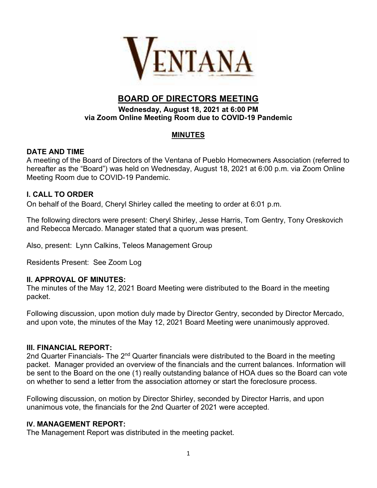

# **BOARD OF DIRECTORS MEETING**

#### **Wednesday, August 18, 2021 at 6:00 PM via Zoom Online Meeting Room due to COVID-19 Pandemic**

## **MINUTES**

#### **DATE AND TIME**

A meeting of the Board of Directors of the Ventana of Pueblo Homeowners Association (referred to hereafter as the "Board") was held on Wednesday, August 18, 2021 at 6:00 p.m. via Zoom Online Meeting Room due to COVID-19 Pandemic.

## **I. CALL TO ORDER**

On behalf of the Board, Cheryl Shirley called the meeting to order at 6:01 p.m.

The following directors were present: Cheryl Shirley, Jesse Harris, Tom Gentry, Tony Oreskovich and Rebecca Mercado. Manager stated that a quorum was present.

Also, present: Lynn Calkins, Teleos Management Group

Residents Present: See Zoom Log

#### **II. APPROVAL OF MINUTES:**

The minutes of the May 12, 2021 Board Meeting were distributed to the Board in the meeting packet.

Following discussion, upon motion duly made by Director Gentry, seconded by Director Mercado, and upon vote, the minutes of the May 12, 2021 Board Meeting were unanimously approved.

#### **III. FINANCIAL REPORT:**

2nd Quarter Financials- The  $2<sup>nd</sup>$  Quarter financials were distributed to the Board in the meeting packet. Manager provided an overview of the financials and the current balances. Information will be sent to the Board on the one (1) really outstanding balance of HOA dues so the Board can vote on whether to send a letter from the association attorney or start the foreclosure process.

Following discussion, on motion by Director Shirley, seconded by Director Harris, and upon unanimous vote, the financials for the 2nd Quarter of 2021 were accepted.

#### **IV. MANAGEMENT REPORT:**

The Management Report was distributed in the meeting packet.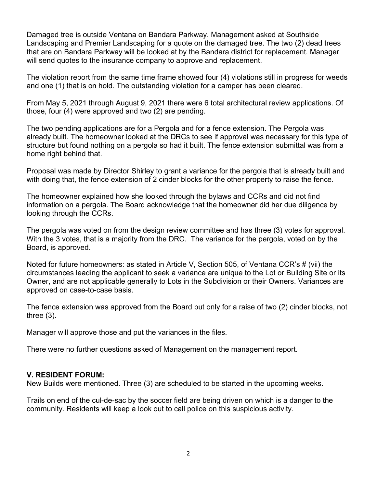Damaged tree is outside Ventana on Bandara Parkway. Management asked at Southside Landscaping and Premier Landscaping for a quote on the damaged tree. The two (2) dead trees that are on Bandara Parkway will be looked at by the Bandara district for replacement. Manager will send quotes to the insurance company to approve and replacement.

The violation report from the same time frame showed four (4) violations still in progress for weeds and one (1) that is on hold. The outstanding violation for a camper has been cleared.

From May 5, 2021 through August 9, 2021 there were 6 total architectural review applications. Of those, four (4) were approved and two (2) are pending.

The two pending applications are for a Pergola and for a fence extension. The Pergola was already built. The homeowner looked at the DRCs to see if approval was necessary for this type of structure but found nothing on a pergola so had it built. The fence extension submittal was from a home right behind that.

Proposal was made by Director Shirley to grant a variance for the pergola that is already built and with doing that, the fence extension of 2 cinder blocks for the other property to raise the fence.

The homeowner explained how she looked through the bylaws and CCRs and did not find information on a pergola. The Board acknowledge that the homeowner did her due diligence by looking through the CCRs.

The pergola was voted on from the design review committee and has three (3) votes for approval. With the 3 votes, that is a majority from the DRC. The variance for the pergola, voted on by the Board, is approved.

Noted for future homeowners: as stated in Article V, Section 505, of Ventana CCR's # (vii) the circumstances leading the applicant to seek a variance are unique to the Lot or Building Site or its Owner, and are not applicable generally to Lots in the Subdivision or their Owners. Variances are approved on case-to-case basis.

The fence extension was approved from the Board but only for a raise of two (2) cinder blocks, not three (3).

Manager will approve those and put the variances in the files.

There were no further questions asked of Management on the management report.

#### **V. RESIDENT FORUM:**

New Builds were mentioned. Three (3) are scheduled to be started in the upcoming weeks.

Trails on end of the cul-de-sac by the soccer field are being driven on which is a danger to the community. Residents will keep a look out to call police on this suspicious activity.